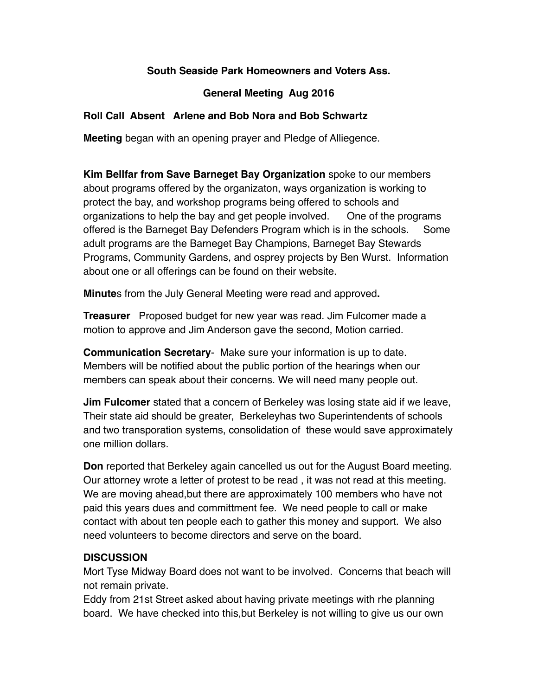## **South Seaside Park Homeowners and Voters Ass.**

## **General Meeting Aug 2016**

## **Roll Call Absent Arlene and Bob Nora and Bob Schwartz**

**Meeting** began with an opening prayer and Pledge of Alliegence.

**Kim Bellfar from Save Barneget Bay Organization** spoke to our members about programs offered by the organizaton, ways organization is working to protect the bay, and workshop programs being offered to schools and organizations to help the bay and get people involved. One of the programs offered is the Barneget Bay Defenders Program which is in the schools. Some adult programs are the Barneget Bay Champions, Barneget Bay Stewards Programs, Community Gardens, and osprey projects by Ben Wurst. Information about one or all offerings can be found on their website.

**Minute**s from the July General Meeting were read and approved**.** 

**Treasurer** Proposed budget for new year was read. Jim Fulcomer made a motion to approve and Jim Anderson gave the second, Motion carried.

**Communication Secretary**- Make sure your information is up to date. Members will be notified about the public portion of the hearings when our members can speak about their concerns. We will need many people out.

**Jim Fulcomer** stated that a concern of Berkeley was losing state aid if we leave, Their state aid should be greater, Berkeleyhas two Superintendents of schools and two transporation systems, consolidation of these would save approximately one million dollars.

**Don** reported that Berkeley again cancelled us out for the August Board meeting. Our attorney wrote a letter of protest to be read , it was not read at this meeting. We are moving ahead,but there are approximately 100 members who have not paid this years dues and committment fee. We need people to call or make contact with about ten people each to gather this money and support. We also need volunteers to become directors and serve on the board.

## **DISCUSSION**

Mort Tyse Midway Board does not want to be involved. Concerns that beach will not remain private.

Eddy from 21st Street asked about having private meetings with rhe planning board. We have checked into this,but Berkeley is not willing to give us our own